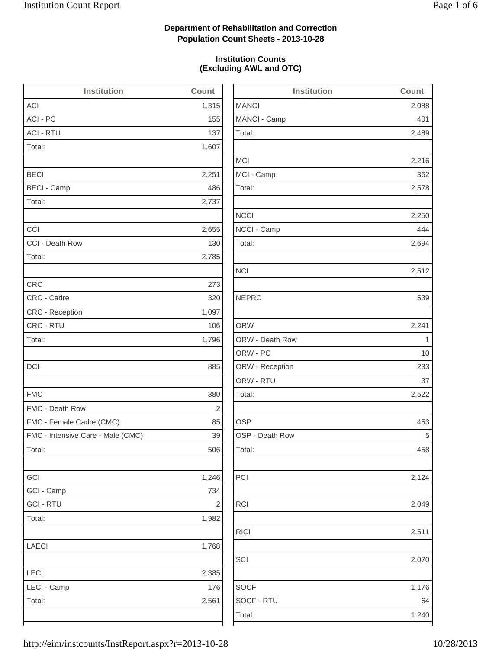2,489

2,216

2,512

2,124

2,070

1,176

# **Department of Rehabilitation and Correction Population Count Sheets - 2013-10-28**

## **Institution Counts (Excluding AWL and OTC)**

| <b>Institution</b>                | Count          | <b>Institution</b> | Count        |
|-----------------------------------|----------------|--------------------|--------------|
| <b>ACI</b>                        | 1,315          | <b>MANCI</b>       | 2,088        |
| ACI - PC                          | 155            | MANCI - Camp       | 401          |
| <b>ACI - RTU</b>                  | 137            | Total:             | 2,489        |
| Total:                            | 1,607          |                    |              |
|                                   |                | <b>MCI</b>         | 2,216        |
| <b>BECI</b>                       | 2,251          | MCI - Camp         | 362          |
| <b>BECI - Camp</b>                | 486            | Total:             | 2,578        |
| Total:                            | 2,737          |                    |              |
|                                   |                | <b>NCCI</b>        | 2,250        |
| CCI                               | 2,655          | NCCI - Camp        | 444          |
| CCI - Death Row                   | 130            | Total:             | 2,694        |
| Total:                            | 2,785          |                    |              |
|                                   |                | <b>NCI</b>         | 2,512        |
| <b>CRC</b>                        | 273            |                    |              |
| CRC - Cadre                       | 320            | <b>NEPRC</b>       | 539          |
| CRC - Reception                   | 1,097          |                    |              |
| CRC - RTU                         | 106            | <b>ORW</b>         | 2,241        |
| Total:                            | 1,796          | ORW - Death Row    | $\mathbf{1}$ |
|                                   |                | ORW - PC           | 10           |
| DCI                               | 885            | ORW - Reception    | 233          |
|                                   |                | ORW - RTU          | 37           |
| <b>FMC</b>                        | 380            | Total:             | 2,522        |
| FMC - Death Row                   | $\overline{2}$ |                    |              |
| FMC - Female Cadre (CMC)          | 85             | <b>OSP</b>         | 453          |
| FMC - Intensive Care - Male (CMC) | 39             | OSP - Death Row    | 5            |
| Total:                            | 506            | Total:             | 458          |
| GCI                               | 1,246          | PCI                | 2,124        |
| GCI - Camp                        | 734            |                    |              |
| <b>GCI - RTU</b>                  | $\sqrt{2}$     | <b>RCI</b>         | 2,049        |
| Total:                            | 1,982          |                    |              |
|                                   |                | <b>RICI</b>        | 2,511        |
| LAECI                             | 1,768          |                    |              |
|                                   |                | SCI                | 2,070        |
| LECI                              | 2,385          |                    |              |
| LECI - Camp                       | 176            | <b>SOCF</b>        | 1,176        |
| Total:                            | 2,561          | SOCF - RTU         | 64           |
|                                   |                | Total:             | 1,240        |
|                                   |                |                    |              |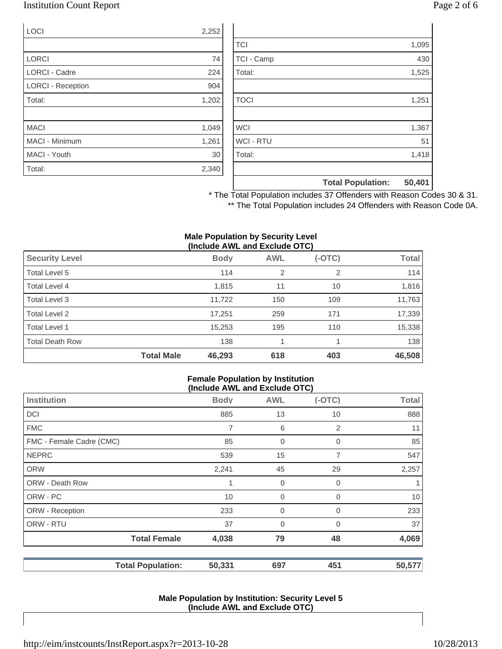# Institution Count Report Page 2 of 6

| LOCI                     | 2,252 |
|--------------------------|-------|
|                          |       |
| <b>LORCI</b>             | 74    |
| <b>LORCI - Cadre</b>     | 224   |
| <b>LORCI - Reception</b> | 904   |
| Total:                   | 1,202 |
|                          |       |
| <b>MACI</b>              | 1,049 |
| MACI - Minimum           | 1,261 |
| MACI - Youth             | 30    |
| Total:                   | 2,340 |

|                  | <b>Total Population:</b> | 50,401 |
|------------------|--------------------------|--------|
|                  |                          |        |
| Total:           |                          | 1,418  |
| <b>WCI - RTU</b> |                          | 51     |
| <b>WCI</b>       |                          | 1,367  |
|                  |                          |        |
| <b>TOCI</b>      |                          | 1,251  |
|                  |                          |        |
| Total:           |                          | 1,525  |
| TCI - Camp       |                          | 430    |
| <b>TCI</b>       |                          | 1,095  |

\* The Total Population includes 37 Offenders with Reason Codes 30 & 31. \*\* The Total Population includes 24 Offenders with Reason Code 0A.

#### **Male Population by Security Level (Include AWL and Exclude OTC)**

| <b>Security Level</b>  |                   | <b>Body</b> | <b>AWL</b>     | $(-OTC)$ | Total  |
|------------------------|-------------------|-------------|----------------|----------|--------|
| Total Level 5          |                   | 114         | $\overline{2}$ | 2        | 114    |
| Total Level 4          |                   | 1,815       | 11             | 10       | 1,816  |
| Total Level 3          |                   | 11,722      | 150            | 109      | 11,763 |
| Total Level 2          |                   | 17,251      | 259            | 171      | 17,339 |
| Total Level 1          |                   | 15,253      | 195            | 110      | 15,338 |
| <b>Total Death Row</b> |                   | 138         |                |          | 138    |
|                        | <b>Total Male</b> | 46,293      | 618            | 403      | 46,508 |

#### **Female Population by Institution (Include AWL and Exclude OTC)**

|                          | (II)        |                |          |              |  |  |  |
|--------------------------|-------------|----------------|----------|--------------|--|--|--|
| <b>Institution</b>       | <b>Body</b> | <b>AWL</b>     | $(-OTC)$ | <b>Total</b> |  |  |  |
| <b>DCI</b>               | 885         | 13             | 10       | 888          |  |  |  |
| <b>FMC</b>               | 7           | 6              | 2        | 11           |  |  |  |
| FMC - Female Cadre (CMC) | 85          | $\mathbf 0$    | 0        | 85           |  |  |  |
| <b>NEPRC</b>             | 539         | 15             | 7        | 547          |  |  |  |
| <b>ORW</b>               | 2,241       | 45             | 29       | 2,257        |  |  |  |
| <b>ORW - Death Row</b>   | 1           | 0              | 0        |              |  |  |  |
| ORW - PC                 | 10          | $\mathbf 0$    | 0        | 10           |  |  |  |
| ORW - Reception          | 233         | $\overline{0}$ | 0        | 233          |  |  |  |
| ORW - RTU                | 37          | $\overline{0}$ | 0        | 37           |  |  |  |
| <b>Total Female</b>      | 4,038       | 79             | 48       | 4,069        |  |  |  |
| <b>Total Population:</b> | 50,331      | 697            | 451      | 50,577       |  |  |  |

### **Male Population by Institution: Security Level 5 (Include AWL and Exclude OTC)**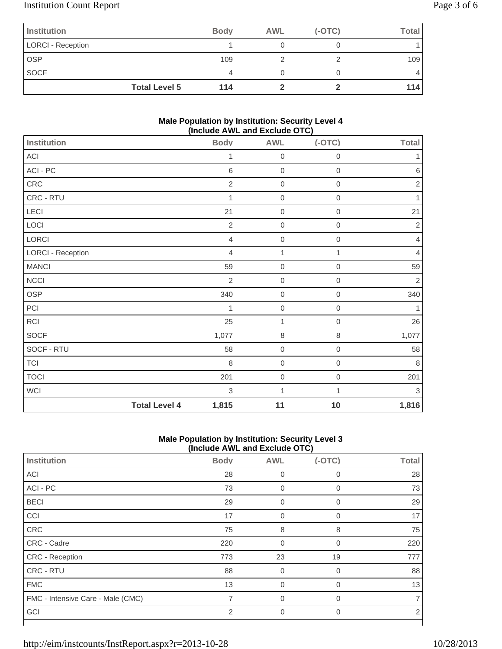# Institution Count Report Page 3 of 6

| Institution       |                      | <b>Body</b> | <b>AWL</b> | $(-OTC)$ | <b>Total</b> |
|-------------------|----------------------|-------------|------------|----------|--------------|
| LORCI - Reception |                      |             |            |          |              |
| OSP               |                      | 109         |            |          | 109          |
| <b>SOCF</b>       |                      | 4           |            |          | 4            |
|                   | <b>Total Level 5</b> | 114         |            |          | 114          |

### **Male Population by Institution: Security Level 4 (Include AWL and Exclude OTC)**

| <b>Institution</b> |                      | <b>Body</b>    | <b>AWL</b>       | - - - - ,<br>$(-OTC)$ | <b>Total</b>   |
|--------------------|----------------------|----------------|------------------|-----------------------|----------------|
| ACI                |                      | 1              | 0                | $\mathbf 0$           | 1              |
| ACI - PC           |                      | $\,6$          | $\boldsymbol{0}$ | $\boldsymbol{0}$      | $\,6$          |
| CRC                |                      | $\sqrt{2}$     | $\boldsymbol{0}$ | $\mathbf 0$           | $\sqrt{2}$     |
| CRC - RTU          |                      | 1              | $\mathbf 0$      | $\boldsymbol{0}$      | 1              |
| LECI               |                      | 21             | $\boldsymbol{0}$ | $\mathbf 0$           | 21             |
| LOCI               |                      | $\overline{2}$ | $\boldsymbol{0}$ | $\mathbf 0$           | $\sqrt{2}$     |
| LORCI              |                      | $\overline{4}$ | $\boldsymbol{0}$ | $\boldsymbol{0}$      | $\overline{4}$ |
| LORCI - Reception  |                      | $\overline{4}$ | 1                | 1                     | $\overline{4}$ |
| <b>MANCI</b>       |                      | 59             | $\mathbf 0$      | $\mathbf 0$           | 59             |
| <b>NCCI</b>        |                      | $\overline{2}$ | $\boldsymbol{0}$ | $\mathbf 0$           | $\sqrt{2}$     |
| OSP                |                      | 340            | $\mathbf 0$      | $\boldsymbol{0}$      | 340            |
| PCI                |                      | 1              | $\mathbf 0$      | $\mathbf 0$           | 1              |
| <b>RCI</b>         |                      | 25             | 1                | $\boldsymbol{0}$      | 26             |
| SOCF               |                      | 1,077          | 8                | $\,8\,$               | 1,077          |
| SOCF - RTU         |                      | 58             | $\mathbf 0$      | $\mathbf 0$           | 58             |
| <b>TCI</b>         |                      | $\,8\,$        | $\boldsymbol{0}$ | $\mathbf 0$           | $\,8\,$        |
| <b>TOCI</b>        |                      | 201            | $\boldsymbol{0}$ | $\mbox{O}$            | 201            |
| <b>WCI</b>         |                      | $\sqrt{3}$     | 1                | 1                     | $\sqrt{3}$     |
|                    | <b>Total Level 4</b> | 1,815          | 11               | 10                    | 1,816          |

## **Male Population by Institution: Security Level 3 (Include AWL and Exclude OTC)**

|                                   | $(1101440)$ and the thoration of $\sigma$ |                |             |              |  |  |  |
|-----------------------------------|-------------------------------------------|----------------|-------------|--------------|--|--|--|
| Institution                       | <b>Body</b>                               | <b>AWL</b>     | $(-OTC)$    | <b>Total</b> |  |  |  |
| <b>ACI</b>                        | 28                                        | 0              | 0           | 28           |  |  |  |
| ACI - PC                          | 73                                        | 0              | $\mathbf 0$ | 73           |  |  |  |
| <b>BECI</b>                       | 29                                        | $\mathbf 0$    | $\mathbf 0$ | 29           |  |  |  |
| CCI                               | 17                                        | $\mathbf 0$    | $\mathbf 0$ | 17           |  |  |  |
| CRC                               | 75                                        | 8              | 8           | 75           |  |  |  |
| CRC - Cadre                       | 220                                       | $\overline{0}$ | 0           | 220          |  |  |  |
| CRC - Reception                   | 773                                       | 23             | 19          | 777          |  |  |  |
| CRC - RTU                         | 88                                        | $\Omega$       | $\Omega$    | 88           |  |  |  |
| <b>FMC</b>                        | 13                                        | $\overline{0}$ | $\Omega$    | 13           |  |  |  |
| FMC - Intensive Care - Male (CMC) | 7                                         | $\overline{0}$ | 0           |              |  |  |  |
| GCI                               | 2                                         | 0              | $\Omega$    | 2            |  |  |  |
|                                   |                                           |                |             |              |  |  |  |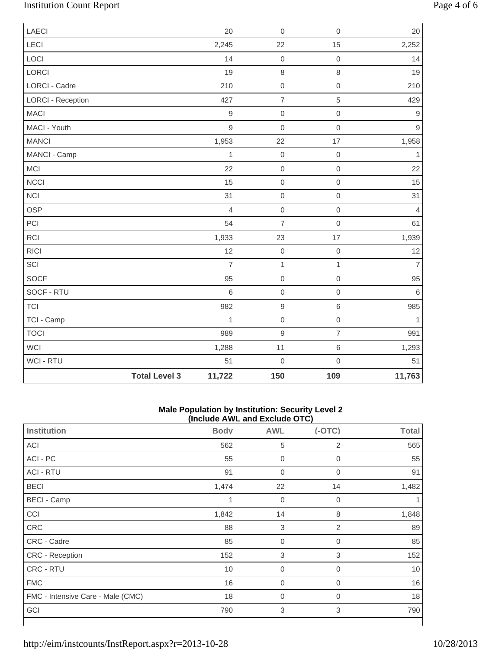# Institution Count Report Page 4 of 6

| LAECI                    |                      | 20             | $\mathbf 0$    | $\mathbf 0$         | 20             |
|--------------------------|----------------------|----------------|----------------|---------------------|----------------|
| LECI                     |                      | 2,245          | 22             | 15                  | 2,252          |
| LOCI                     |                      | 14             | $\mathbf 0$    | $\mathsf{O}\xspace$ | 14             |
| LORCI                    |                      | 19             | $\,8\,$        | 8                   | 19             |
| LORCI - Cadre            |                      | 210            | $\mathbf 0$    | $\mathsf{O}\xspace$ | 210            |
| <b>LORCI - Reception</b> |                      | 427            | $\overline{7}$ | 5                   | 429            |
| <b>MACI</b>              |                      | $\mathsf g$    | $\mathbf 0$    | $\mathsf{O}\xspace$ | $\overline{9}$ |
| MACI - Youth             |                      | 9              | $\mathbf 0$    | $\mathsf{O}\xspace$ | $\mathsf g$    |
| <b>MANCI</b>             |                      | 1,953          | 22             | 17                  | 1,958          |
| MANCI - Camp             |                      | $\mathbf{1}$   | $\mbox{O}$     | $\mathbf 0$         | $\mathbf{1}$   |
| MCI                      |                      | 22             | $\mathbf 0$    | $\mathsf{O}\xspace$ | 22             |
| <b>NCCI</b>              |                      | 15             | $\mathbf 0$    | $\mathsf{O}\xspace$ | 15             |
| <b>NCI</b>               |                      | 31             | $\mathbf 0$    | $\mathsf{O}\xspace$ | 31             |
| <b>OSP</b>               |                      | $\overline{4}$ | $\mathbf 0$    | $\mathsf{O}\xspace$ | $\overline{4}$ |
| PCI                      |                      | 54             | $\overline{7}$ | $\mathsf{O}\xspace$ | 61             |
| RCI                      |                      | 1,933          | 23             | 17                  | 1,939          |
| <b>RICI</b>              |                      | 12             | $\mbox{O}$     | $\mbox{O}$          | 12             |
| SCI                      |                      | $\overline{7}$ | $\mathbf{1}$   | $\mathbf{1}$        | $\overline{7}$ |
| <b>SOCF</b>              |                      | 95             | $\mathbf 0$    | $\mathsf{O}\xspace$ | 95             |
| SOCF - RTU               |                      | $\,$ 6         | $\mathbf 0$    | $\mathsf{O}\xspace$ | $\,6\,$        |
| <b>TCI</b>               |                      | 982            | $\mathsf g$    | 6                   | 985            |
| TCI - Camp               |                      | $\mathbf{1}$   | $\mbox{O}$     | $\mathsf{O}\xspace$ | $\mathbf{1}$   |
| <b>TOCI</b>              |                      | 989            | $\mathsf g$    | $\overline{7}$      | 991            |
| <b>WCI</b>               |                      | 1,288          | 11             | 6                   | 1,293          |
| <b>WCI - RTU</b>         |                      | 51             | $\mathbf 0$    | $\mathsf{O}\xspace$ | 51             |
|                          | <b>Total Level 3</b> | 11,722         | 150            | 109                 | 11,763         |

#### **Male Population by Institution: Security Level 2 (Include AWL and Exclude OTC)**

| $\frac{1}{2}$                     |             |                  |                |                 |  |  |
|-----------------------------------|-------------|------------------|----------------|-----------------|--|--|
| <b>Institution</b>                | <b>Body</b> | <b>AWL</b>       | $(-OTC)$       | <b>Total</b>    |  |  |
| ACI                               | 562         | 5                | $\overline{2}$ | 565             |  |  |
| ACI - PC                          | 55          | $\mathbf 0$      | 0              | 55              |  |  |
| <b>ACI - RTU</b>                  | 91          | $\overline{0}$   | 0              | 91              |  |  |
| <b>BECI</b>                       | 1,474       | 22               | 14             | 1,482           |  |  |
| <b>BECI - Camp</b>                | 1           | $\mathbf 0$      | 0              |                 |  |  |
| CCI                               | 1,842       | 14               | 8              | 1,848           |  |  |
| CRC                               | 88          | 3                | 2              | 89              |  |  |
| CRC - Cadre                       | 85          | $\overline{0}$   | $\mathbf 0$    | 85              |  |  |
| CRC - Reception                   | 152         | $\,$ 3 $\,$      | 3              | 152             |  |  |
| CRC - RTU                         | 10          | $\mathbf 0$      | 0              | 10 <sup>°</sup> |  |  |
| <b>FMC</b>                        | 16          | $\boldsymbol{0}$ | 0              | 16              |  |  |
| FMC - Intensive Care - Male (CMC) | 18          | $\overline{0}$   | 0              | 18              |  |  |
| GCI                               | 790         | 3                | 3              | 790             |  |  |
|                                   |             |                  |                |                 |  |  |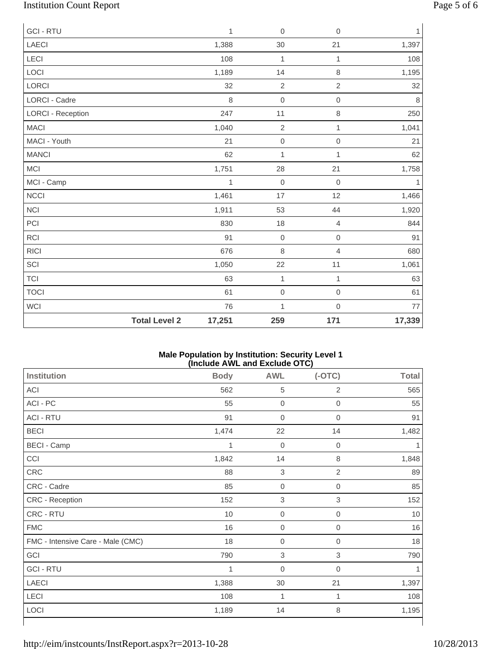# Institution Count Report Page 5 of 6

| <b>GCI - RTU</b>         |                      | $\mathbf{1}$ | $\mathbf 0$    | $\mathbf 0$    | 1            |
|--------------------------|----------------------|--------------|----------------|----------------|--------------|
| <b>LAECI</b>             |                      | 1,388        | 30             | 21             | 1,397        |
| LECI                     |                      | 108          | $\mathbf 1$    | $\mathbf{1}$   | 108          |
| LOCI                     |                      | 1,189        | 14             | $\,8\,$        | 1,195        |
| LORCI                    |                      | 32           | $\sqrt{2}$     | $\sqrt{2}$     | 32           |
| LORCI - Cadre            |                      | 8            | $\mathbf 0$    | $\mathbf 0$    | $\,8\,$      |
| <b>LORCI - Reception</b> |                      | 247          | 11             | $\,8\,$        | 250          |
| <b>MACI</b>              |                      | 1,040        | $\overline{c}$ | $\mathbf{1}$   | 1,041        |
| MACI - Youth             |                      | 21           | $\mathbf 0$    | $\mathbf 0$    | 21           |
| <b>MANCI</b>             |                      | 62           | $\mathbf{1}$   | 1              | 62           |
| <b>MCI</b>               |                      | 1,751        | 28             | 21             | 1,758        |
| MCI - Camp               |                      | 1            | $\mathbf 0$    | $\mathbf 0$    | $\mathbf{1}$ |
| <b>NCCI</b>              |                      | 1,461        | 17             | 12             | 1,466        |
| <b>NCI</b>               |                      | 1,911        | 53             | 44             | 1,920        |
| PCI                      |                      | 830          | 18             | $\overline{4}$ | 844          |
| <b>RCI</b>               |                      | 91           | $\mathbf 0$    | $\mathbf 0$    | 91           |
| RICI                     |                      | 676          | 8              | $\overline{4}$ | 680          |
| SCI                      |                      | 1,050        | 22             | 11             | 1,061        |
| <b>TCI</b>               |                      | 63           | $\mathbf{1}$   | $\mathbf{1}$   | 63           |
| <b>TOCI</b>              |                      | 61           | $\mbox{O}$     | $\mathbf 0$    | 61           |
| WCI                      |                      | 76           | $\mathbf 1$    | $\mathbf 0$    | 77           |
|                          | <b>Total Level 2</b> | 17,251       | 259            | 171            | 17,339       |

### **Male Population by Institution: Security Level 1 (Include AWL and Exclude OTC)**

| <b>Institution</b>                | <b>Body</b> | <b>AWL</b>       | $(-OTC)$         | <b>Total</b> |
|-----------------------------------|-------------|------------------|------------------|--------------|
| ACI                               | 562         | 5                | 2                | 565          |
| ACI - PC                          | 55          | $\boldsymbol{0}$ | $\overline{0}$   | 55           |
| <b>ACI - RTU</b>                  | 91          | $\boldsymbol{0}$ | 0                | 91           |
| <b>BECI</b>                       | 1,474       | 22               | 14               | 1,482        |
| <b>BECI - Camp</b>                | 1           | $\boldsymbol{0}$ | 0                |              |
| CCI                               | 1,842       | 14               | 8                | 1,848        |
| <b>CRC</b>                        | 88          | 3                | $\overline{2}$   | 89           |
| CRC - Cadre                       | 85          | $\boldsymbol{0}$ | 0                | 85           |
| CRC - Reception                   | 152         | $\,$ 3 $\,$      | 3                | 152          |
| CRC - RTU                         | 10          | $\boldsymbol{0}$ | 0                | 10           |
| <b>FMC</b>                        | 16          | $\boldsymbol{0}$ | $\boldsymbol{0}$ | 16           |
| FMC - Intensive Care - Male (CMC) | 18          | $\boldsymbol{0}$ | 0                | 18           |
| GCI                               | 790         | $\,$ 3 $\,$      | 3                | 790          |
| <b>GCI-RTU</b>                    | 1           | $\overline{0}$   | $\overline{0}$   |              |
| <b>LAECI</b>                      | 1,388       | 30               | 21               | 1,397        |
| LECI                              | 108         | 1                | 1                | 108          |
| LOCI                              | 1,189       | 14               | 8                | 1,195        |